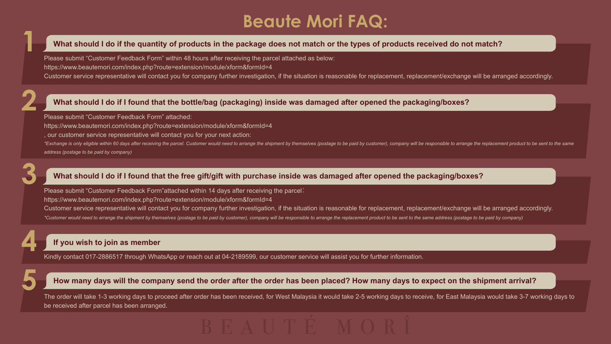# **Beaute Mori FAQ:**

## **What should I do if the quantity of products in the package does not match or the types of products received do not match?**

# **What should I do if I found that the bottle/bag (packaging) inside was damaged after opened the packaging/boxes?**

# **What should I do if I found that the free gift/gift with purchase inside was damaged after opened the packaging/boxes?**

**1**

**2**

**3**

**4**

**5**

https://www.beautemori.com/index.php?route=extension/module/xform&formId=4 , our customer service representative will contact you for your next action: \*Exchange is only eligible within 60 days after receiving the parcel. Customer would need to arrange the shipment by themselves (postage to be paid by customer), company will be responsible to arrange the replacement produ

Please submit "Customer Feedback Form" within 48 hours after receiving the parcel attached as below: https://www.beautemori.com/index.php?route=extension/module/xform&formId=4 Customer service representative will contact you for company further investigation, if the situation is reasonable for replacement, replacement/exchange will be arranged accordingly.

Please submit "Customer Feedback Form"attached within 14 days after receiving the parcel: https://www.beautemori.com/index.php?route=extension/module/xform&formId=4 Customer service representative will contact you for company further investigation, if the situation is reasonable for replacement, replacement/exchange will be arranged accordingly. \*Customer would need to arrange the shipment by themselves (postage to be paid by customer), company will be responsible to arrange the replacement product to be sent to the same address (postage to be paid by company)

Please submit "Customer Feedback Form" attached:

*address (postage to be paid by company)* 

# **If you wish to join as member**

### **How many days will the company send the order after the order has been placed? How many days to expect on the shipment arrival?**

Kindly contact 017-2886517 through WhatsApp or reach out at 04-2189599, our customer service will assist you for further information.

The order will take 1-3 working days to proceed after order has been received, for West Malaysia it would take 2-5 working days to receive, for East Malaysia would take 3-7 working days to be received after parcel has been arranged.

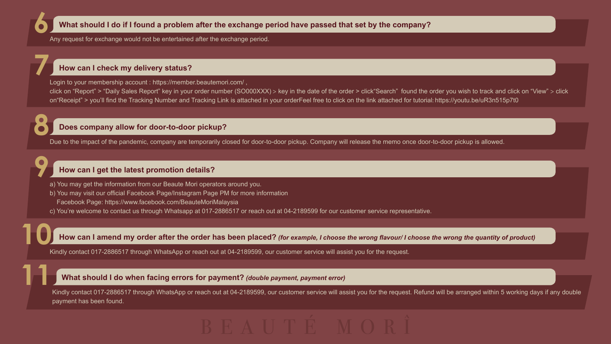**6**

**11**

**What should I do if I found a problem after the exchange period have passed that set by the company?**

Any request for exchange would not be entertained after the exchange period.

**8** Due to the impact of the pandemic, company are temporarily closed for door-to-door pickup. Company will release the memo once door-to-door pickup is allowed.

### **Does company allow for door-to-door pickup?**

**10** Kindly contact 017-2886517 through WhatsApp or reach out at 04-2189599, our customer service will assist you for the request.

### **How can I amend my order after the order has been placed?** *(for example, I choose the wrong flavour/ I choose the wrong the quantity of product)*

Kindly contact 017-2886517 through WhatsApp or reach out at 04-2189599, our customer service will assist you for the request. Refund will be arranged within 5 working days if any double payment has been found.



- **9** a) You may get the information from our Beaute Mori operators around you.
	- b) You may visit our official Facebook Page/Instagram Page PM for more information Facebook Page: https://www.facebook.com/BeauteMoriMalaysia
	- c) You're welcome to contact us through Whatsapp at 017-2886517 or reach out at 04-2189599 for our customer service representative.

### **What should I do when facing errors for payment?** *(double payment, payment error)*

**7** Login to your membership account : https://member.beautemori.com/, click on "Report" > "Daily Sales Report" key in your order number (SO000XXX) > key in the date of the order > click"Search" found the order you wish to track and click on "View" > click on"Receipt" > you'll find the Tracking Number and Tracking Link is attached in your orderFeel free to click on the link attached for tutorial: https://youtu.be/uR3n515p7t0

#### **How can I get the latest promotion details?**

### **How can I check my delivery status?**